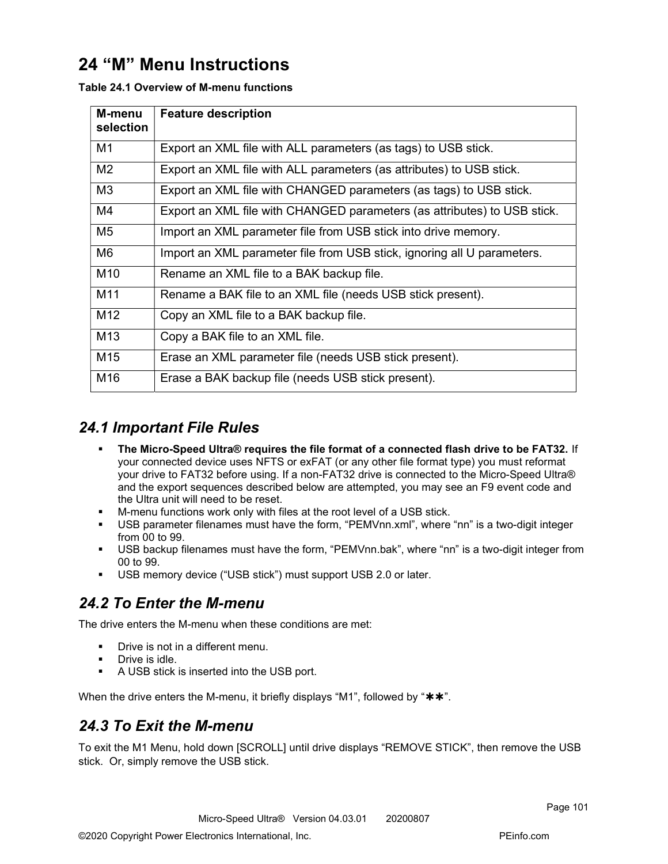# 24 "M" Menu Instructions

| M-menu<br>selection | <b>Feature description</b>                                               |
|---------------------|--------------------------------------------------------------------------|
| M1                  | Export an XML file with ALL parameters (as tags) to USB stick.           |
| M <sub>2</sub>      | Export an XML file with ALL parameters (as attributes) to USB stick.     |
| M <sub>3</sub>      | Export an XML file with CHANGED parameters (as tags) to USB stick.       |
| M4                  | Export an XML file with CHANGED parameters (as attributes) to USB stick. |
| M <sub>5</sub>      | Import an XML parameter file from USB stick into drive memory.           |
| M <sub>6</sub>      | Import an XML parameter file from USB stick, ignoring all U parameters.  |
| M <sub>10</sub>     | Rename an XML file to a BAK backup file.                                 |
| M11                 | Rename a BAK file to an XML file (needs USB stick present).              |
| M12                 | Copy an XML file to a BAK backup file.                                   |
| M <sub>13</sub>     | Copy a BAK file to an XML file.                                          |
| M <sub>15</sub>     | Erase an XML parameter file (needs USB stick present).                   |
| M16                 | Erase a BAK backup file (needs USB stick present).                       |

Table 24.1 Overview of M-menu functions

## 24.1 Important File Rules

- The Micro-Speed Ultra® requires the file format of a connected flash drive to be FAT32. If your connected device uses NFTS or exFAT (or any other file format type) you must reformat your drive to FAT32 before using. If a non-FAT32 drive is connected to the Micro-Speed Ultra® and the export sequences described below are attempted, you may see an F9 event code and the Ultra unit will need to be reset.
- M-menu functions work only with files at the root level of a USB stick.
- USB parameter filenames must have the form, "PEMVnn.xml", where "nn" is a two-digit integer from 00 to 99.
- USB backup filenames must have the form, "PEMVnn.bak", where "nn" is a two-digit integer from 00 to 99.
- USB memory device ("USB stick") must support USB 2.0 or later.

# 24.2 To Enter the M-menu

The drive enters the M-menu when these conditions are met:

- **•** Drive is not in a different menu.
- **Drive is idle.**
- A USB stick is inserted into the USB port.

When the drive enters the M-menu, it briefly displays "M1", followed by " $**$ ".

# 24.3 To Exit the M-menu

To exit the M1 Menu, hold down [SCROLL] until drive displays "REMOVE STICK", then remove the USB stick. Or, simply remove the USB stick.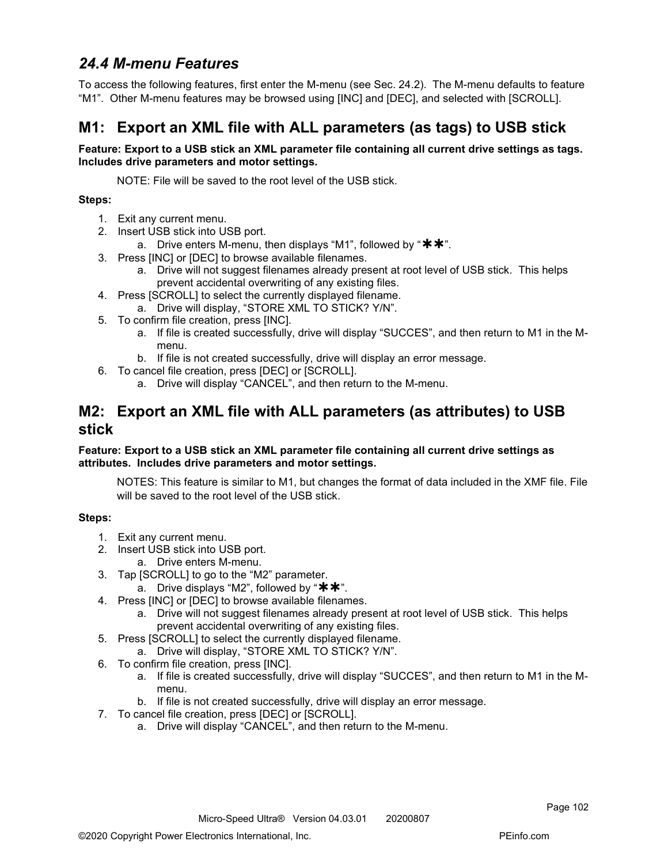# 24.4 M-menu Features

To access the following features, first enter the M-menu (see Sec. 24.2). The M-menu defaults to feature "M1". Other M-menu features may be browsed using [INC] and [DEC], and selected with [SCROLL].

# M1: Export an XML file with ALL parameters (as tags) to USB stick

### Feature: Export to a USB stick an XML parameter file containing all current drive settings as tags. Includes drive parameters and motor settings.

NOTE: File will be saved to the root level of the USB stick.

### Steps:

- 1. Exit any current menu.
- 2. Insert USB stick into USB port.
	- a. Drive enters M-menu, then displays "M1", followed by " $**$ ".
- 3. Press [INC] or [DEC] to browse available filenames.
	- a. Drive will not suggest filenames already present at root level of USB stick. This helps prevent accidental overwriting of any existing files.
- 4. Press [SCROLL] to select the currently displayed filename.
	- a. Drive will display, "STORE XML TO STICK? Y/N".
- 5. To confirm file creation, press [INC].
	- a. If file is created successfully, drive will display "SUCCES", and then return to M1 in the Mmenu.
	- b. If file is not created successfully, drive will display an error message.
- 6. To cancel file creation, press [DEC] or [SCROLL].
	- a. Drive will display "CANCEL", and then return to the M-menu.

## M2: Export an XML file with ALL parameters (as attributes) to USB stick

### Feature: Export to a USB stick an XML parameter file containing all current drive settings as attributes. Includes drive parameters and motor settings.

NOTES: This feature is similar to M1, but changes the format of data included in the XMF file. File will be saved to the root level of the USB stick.

- 1. Exit any current menu.
- 2. Insert USB stick into USB port.
	- a. Drive enters M-menu.
- 3. Tap [SCROLL] to go to the "M2" parameter.
	- a. Drive displays "M2", followed by " $**$ ".
- 4. Press [INC] or [DEC] to browse available filenames.
	- a. Drive will not suggest filenames already present at root level of USB stick. This helps prevent accidental overwriting of any existing files.
- 5. Press [SCROLL] to select the currently displayed filename.
	- a. Drive will display, "STORE XML TO STICK? Y/N".
- 6. To confirm file creation, press [INC].
	- a. If file is created successfully, drive will display "SUCCES", and then return to M1 in the Mmenu.
	- b. If file is not created successfully, drive will display an error message.
- 7. To cancel file creation, press [DEC] or [SCROLL].
	- a. Drive will display "CANCEL", and then return to the M-menu.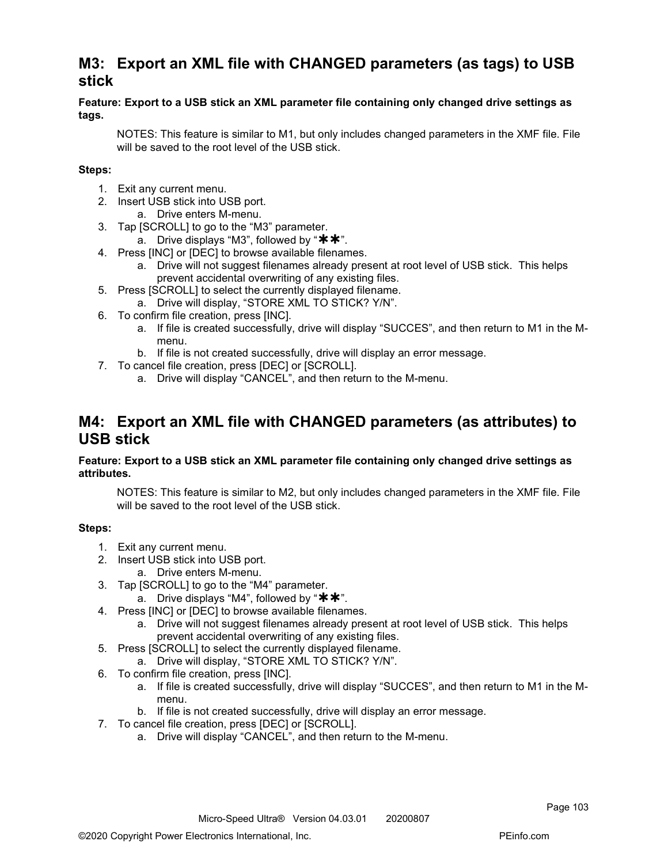## M3: Export an XML file with CHANGED parameters (as tags) to USB stick

### Feature: Export to a USB stick an XML parameter file containing only changed drive settings as tags.

NOTES: This feature is similar to M1, but only includes changed parameters in the XMF file. File will be saved to the root level of the USB stick.

## Steps:

- 1. Exit any current menu.
- 2. Insert USB stick into USB port.
	- a. Drive enters M-menu.
- 3. Tap [SCROLL] to go to the "M3" parameter.
	- a. Drive displays "M3", followed by " $**$ ".
- 4. Press [INC] or [DEC] to browse available filenames.
	- a. Drive will not suggest filenames already present at root level of USB stick. This helps prevent accidental overwriting of any existing files.
- 5. Press [SCROLL] to select the currently displayed filename. a. Drive will display, "STORE XML TO STICK? Y/N".
- 6. To confirm file creation, press [INC].
	- a. If file is created successfully, drive will display "SUCCES", and then return to M1 in the Mmenu.
	- b. If file is not created successfully, drive will display an error message.
- 7. To cancel file creation, press [DEC] or [SCROLL].
	- a. Drive will display "CANCEL", and then return to the M-menu.

## M4: Export an XML file with CHANGED parameters (as attributes) to USB stick

#### Feature: Export to a USB stick an XML parameter file containing only changed drive settings as attributes.

NOTES: This feature is similar to M2, but only includes changed parameters in the XMF file. File will be saved to the root level of the USB stick.

- 1. Exit any current menu.
- 2. Insert USB stick into USB port.
	- a. Drive enters M-menu.
- 3. Tap [SCROLL] to go to the "M4" parameter.
	- a. Drive displays "M4", followed by " $**$ ".
- 4. Press [INC] or [DEC] to browse available filenames.
	- a. Drive will not suggest filenames already present at root level of USB stick. This helps prevent accidental overwriting of any existing files.
- 5. Press [SCROLL] to select the currently displayed filename.
	- a. Drive will display, "STORE XML TO STICK? Y/N".
- 6. To confirm file creation, press [INC].
	- a. If file is created successfully, drive will display "SUCCES", and then return to M1 in the Mmenu.
	- b. If file is not created successfully, drive will display an error message.
- 7. To cancel file creation, press [DEC] or [SCROLL].
	- a. Drive will display "CANCEL", and then return to the M-menu.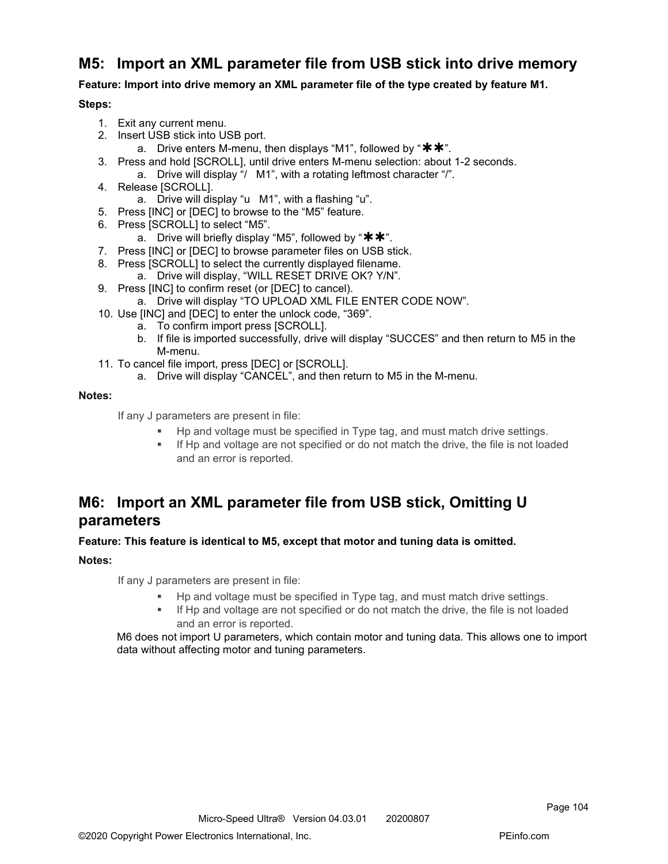## M5: Import an XML parameter file from USB stick into drive memory

Feature: Import into drive memory an XML parameter file of the type created by feature M1.

### Steps:

- 1. Exit any current menu.
- 2. Insert USB stick into USB port.
	- a. Drive enters M-menu, then displays "M1", followed by " $**$ ".
- 3. Press and hold [SCROLL], until drive enters M-menu selection: about 1-2 seconds.
	- a. Drive will display "/ M1", with a rotating leftmost character "/".
- 4. Release [SCROLL].
	- a. Drive will display "u M1", with a flashing "u".
- 5. Press [INC] or [DEC] to browse to the "M5" feature.
- 6. Press [SCROLL] to select "M5".
	- a. Drive will briefly display "M5", followed by " $\star\star$ ".
- 7. Press [INC] or [DEC] to browse parameter files on USB stick.
- 8. Press [SCROLL] to select the currently displayed filename.
	- a. Drive will display, "WILL RESET DRIVE OK? Y/N".
- 9. Press [INC] to confirm reset (or [DEC] to cancel).
	- a. Drive will display "TO UPLOAD XML FILE ENTER CODE NOW".
- 10. Use [INC] and [DEC] to enter the unlock code, "369".
	- a. To confirm import press [SCROLL].
	- b. If file is imported successfully, drive will display "SUCCES" and then return to M5 in the M-menu.
- 11. To cancel file import, press [DEC] or [SCROLL].
	- a. Drive will display "CANCEL", and then return to M5 in the M-menu.

### Notes:

If any J parameters are present in file:

- Hp and voltage must be specified in Type tag, and must match drive settings.
- If Hp and voltage are not specified or do not match the drive, the file is not loaded and an error is reported.

## M6: Import an XML parameter file from USB stick, Omitting U parameters

### Feature: This feature is identical to M5, except that motor and tuning data is omitted.

## Notes:

If any J parameters are present in file:

- Hp and voltage must be specified in Type tag, and must match drive settings.
- If Hp and voltage are not specified or do not match the drive, the file is not loaded and an error is reported.

M6 does not import U parameters, which contain motor and tuning data. This allows one to import data without affecting motor and tuning parameters.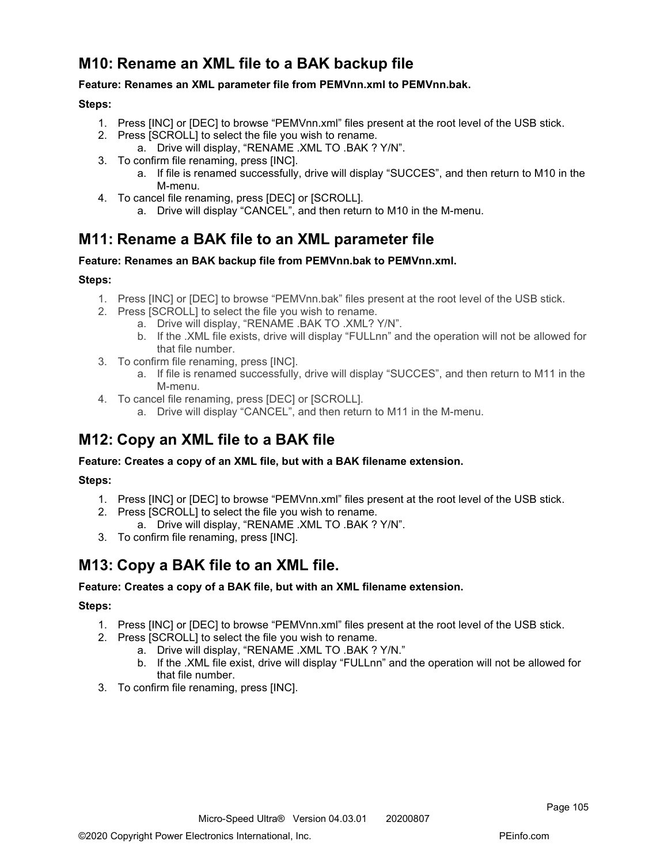# M10: Rename an XML file to a BAK backup file

## Feature: Renames an XML parameter file from PEMVnn.xml to PEMVnn.bak.

### Steps:

- 1. Press [INC] or [DEC] to browse "PEMVnn.xml" files present at the root level of the USB stick.
- 2. Press [SCROLL] to select the file you wish to rename.
	- a. Drive will display, "RENAME .XML TO .BAK ? Y/N".
- 3. To confirm file renaming, press [INC].
	- a. If file is renamed successfully, drive will display "SUCCES", and then return to M10 in the M-menu.
- 4. To cancel file renaming, press [DEC] or [SCROLL].
	- a. Drive will display "CANCEL", and then return to M10 in the M-menu.

## M11: Rename a BAK file to an XML parameter file

#### Feature: Renames an BAK backup file from PEMVnn.bak to PEMVnn.xml.

### Steps:

- 1. Press [INC] or [DEC] to browse "PEMVnn.bak" files present at the root level of the USB stick.
- 2. Press [SCROLL] to select the file you wish to rename.
	- a. Drive will display, "RENAME .BAK TO .XML? Y/N".
	- b. If the .XML file exists, drive will display "FULLnn" and the operation will not be allowed for that file number.
- 3. To confirm file renaming, press [INC].
	- a. If file is renamed successfully, drive will display "SUCCES", and then return to M11 in the M-menu.
- 4. To cancel file renaming, press [DEC] or [SCROLL].
	- a. Drive will display "CANCEL", and then return to M11 in the M-menu.

## M12: Copy an XML file to a BAK file

### Feature: Creates a copy of an XML file, but with a BAK filename extension.

### Steps:

- 1. Press [INC] or [DEC] to browse "PEMVnn.xml" files present at the root level of the USB stick.
- 2. Press [SCROLL] to select the file you wish to rename.
	- a. Drive will display, "RENAME .XML TO .BAK ? Y/N".
- 3. To confirm file renaming, press [INC].

## M13: Copy a BAK file to an XML file.

#### Feature: Creates a copy of a BAK file, but with an XML filename extension.

- 1. Press [INC] or [DEC] to browse "PEMVnn.xml" files present at the root level of the USB stick.
- 2. Press [SCROLL] to select the file you wish to rename.
	- a. Drive will display, "RENAME .XML TO .BAK ? Y/N."
	- b. If the .XML file exist, drive will display "FULLnn" and the operation will not be allowed for that file number.
- 3. To confirm file renaming, press [INC].